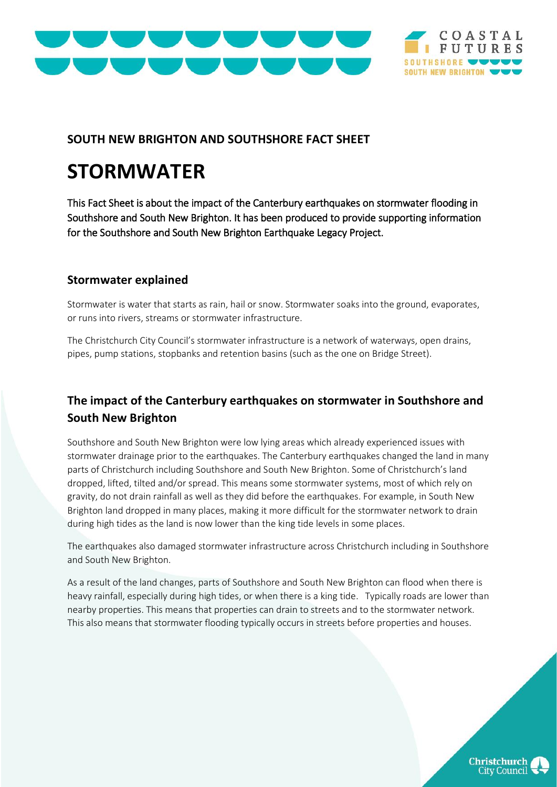



#### **SOUTH NEW BRIGHTON AND SOUTHSHORE FACT SHEET**

# **STORMWATER**

This Fact Sheet is about the impact of the Canterbury earthquakes on stormwater flooding in Southshore and South New Brighton. It has been produced to provide supporting information for the Southshore and South New Brighton Earthquake Legacy Project.

#### **Stormwater explained**

Stormwater is water that starts as rain, hail or snow. Stormwater soaks into the ground, evaporates, or runs into rivers, streams or stormwater infrastructure.

The Christchurch City Council's stormwater infrastructure is a network of waterways, open drains, pipes, pump stations, stopbanks and retention basins (such as the one on Bridge Street).

### **The impact of the Canterbury earthquakes on stormwater in Southshore and South New Brighton**

Southshore and South New Brighton were low lying areas which already experienced issues with stormwater drainage prior to the earthquakes. The Canterbury earthquakes changed the land in many parts of Christchurch including Southshore and South New Brighton. Some of Christchurch's land dropped, lifted, tilted and/or spread. This means some stormwater systems, most of which rely on gravity, do not drain rainfall as well as they did before the earthquakes. For example, in South New Brighton land dropped in many places, making it more difficult for the stormwater network to drain during high tides as the land is now lower than the king tide levels in some places.

The earthquakes also damaged stormwater infrastructure across Christchurch including in Southshore and South New Brighton.

As a result of the land changes, parts of Southshore and South New Brighton can flood when there is heavy rainfall, especially during high tides, or when there is a king tide. Typically roads are lower than nearby properties. This means that properties can drain to streets and to the stormwater network. This also means that stormwater flooding typically occurs in streets before properties and houses.

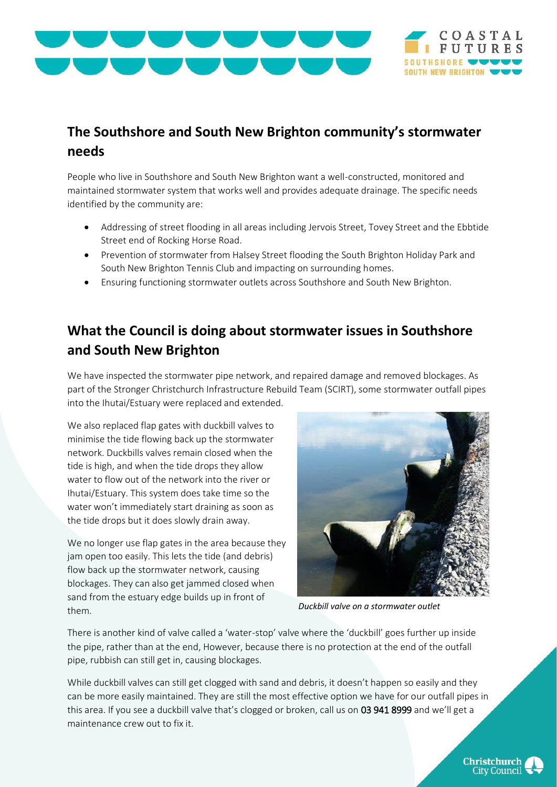



## **The Southshore and South New Brighton community's stormwater needs**

People who live in Southshore and South New Brighton want a well-constructed, monitored and maintained stormwater system that works well and provides adequate drainage. The specific needs identified by the community are:

- Addressing of street flooding in all areas including Jervois Street, Tovey Street and the Ebbtide Street end of Rocking Horse Road.
- Prevention of stormwater from Halsey Street flooding the South Brighton Holiday Park and South New Brighton Tennis Club and impacting on surrounding homes.
- Ensuring functioning stormwater outlets across Southshore and South New Brighton.

# **What the Council is doing about stormwater issues in Southshore and South New Brighton**

We have inspected the stormwater pipe network, and repaired damage and removed blockages. As part of the Stronger Christchurch Infrastructure Rebuild Team (SCIRT), some stormwater outfall pipes into the Ihutai/Estuary were replaced and extended.

We also replaced flap gates with duckbill valves to minimise the tide flowing back up the stormwater network. Duckbills valves remain closed when the tide is high, and when the tide drops they allow water to flow out of the network into the river or Ihutai/Estuary. This system does take time so the water won't immediately start draining as soon as the tide drops but it does slowly drain away.

We no longer use flap gates in the area because they jam open too easily. This lets the tide (and debris) flow back up the stormwater network, causing blockages. They can also get jammed closed when sand from the estuary edge builds up in front of them.



*Duckbill valve on a stormwater outlet*

There is another kind of valve called a 'water-stop' valve where the 'duckbill' goes further up inside the pipe, rather than at the end, However, because there is no protection at the end of the outfall pipe, rubbish can still get in, causing blockages.

While duckbill valves can still get clogged with sand and debris, it doesn't happen so easily and they can be more easily maintained. They are still the most effective option we have for our outfall pipes in this area. If you see a duckbill valve that's clogged or broken, call us on 03 941 8999 and we'll get a maintenance crew out to fix it.